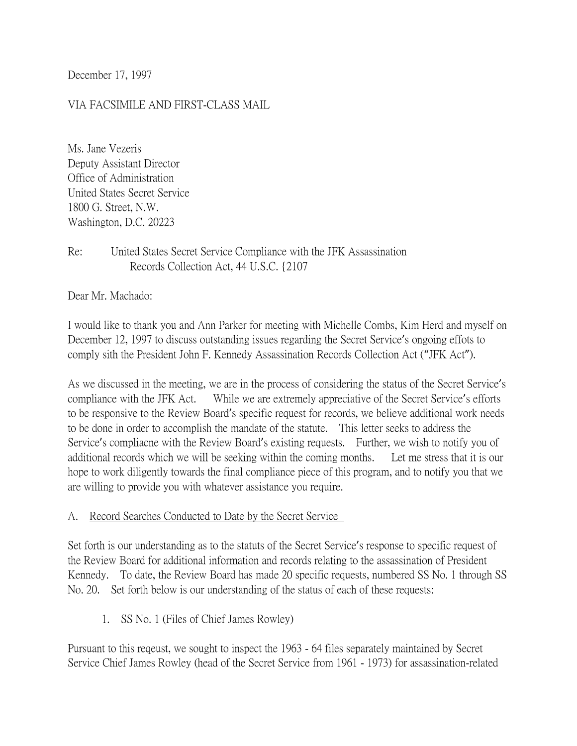December 17, 1997

#### VIA FACSIMILE AND FIRST-CLASS MAIL

Ms. Jane Vezeris Deputy Assistant Director Office of Administration United States Secret Service 1800 G. Street, N.W. Washington, D.C. 20223

## Re: United States Secret Service Compliance with the JFK Assassination Records Collection Act, 44 U.S.C. {2107

Dear Mr. Machado:

I would like to thank you and Ann Parker for meeting with Michelle Combs, Kim Herd and myself on December 12, 1997 to discuss outstanding issues regarding the Secret Service's ongoing effots to comply sith the President John F. Kennedy Assassination Records Collection Act ("JFK Act").

As we discussed in the meeting, we are in the process of considering the status of the Secret Service's compliance with the JFK Act. While we are extremely appreciative of the Secret Service's efforts to be responsive to the Review Board's specific request for records, we believe additional work needs to be done in order to accomplish the mandate of the statute. This letter seeks to address the Service's compliacne with the Review Board's existing requests. Further, we wish to notify you of additional records which we will be seeking within the coming months. Let me stress that it is our hope to work diligently towards the final compliance piece of this program, and to notify you that we are willing to provide you with whatever assistance you require.

#### A. Record Searches Conducted to Date by the Secret Service

Set forth is our understanding as to the statuts of the Secret Service's response to specific request of the Review Board for additional information and records relating to the assassination of President Kennedy. To date, the Review Board has made 20 specific requests, numbered SS No. 1 through SS No. 20. Set forth below is our understanding of the status of each of these requests:

1. SS No. 1 (Files of Chief James Rowley)

Pursuant to this reqeust, we sought to inspect the 1963 - 64 files separately maintained by Secret Service Chief James Rowley (head of the Secret Service from 1961 - 1973) for assassination-related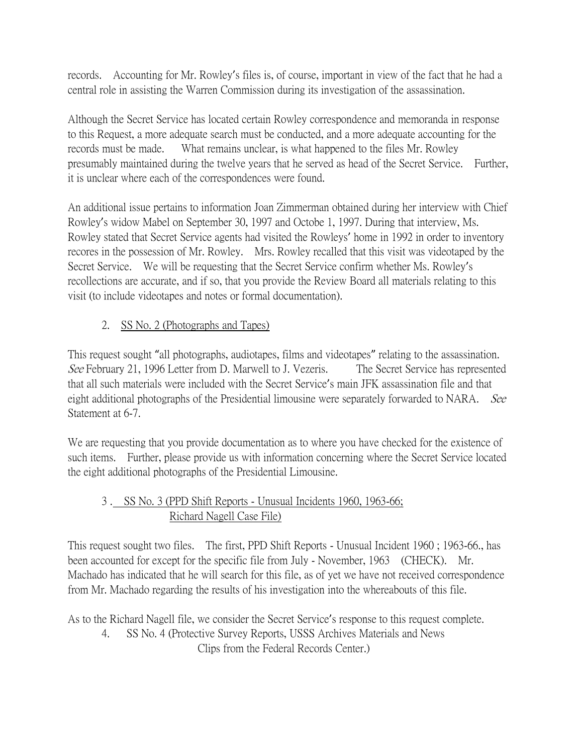records. Accounting for Mr. Rowley's files is, of course, important in view of the fact that he had a central role in assisting the Warren Commission during its investigation of the assassination.

Although the Secret Service has located certain Rowley correspondence and memoranda in response to this Request, a more adequate search must be conducted, and a more adequate accounting for the records must be made. What remains unclear, is what happened to the files Mr. Rowley presumably maintained during the twelve years that he served as head of the Secret Service. Further, it is unclear where each of the correspondences were found.

An additional issue pertains to information Joan Zimmerman obtained during her interview with Chief Rowley's widow Mabel on September 30, 1997 and Octobe 1, 1997. During that interview, Ms. Rowley stated that Secret Service agents had visited the Rowleys' home in 1992 in order to inventory recores in the possession of Mr. Rowley. Mrs. Rowley recalled that this visit was videotaped by the Secret Service. We will be requesting that the Secret Service confirm whether Ms. Rowley's recollections are accurate, and if so, that you provide the Review Board all materials relating to this visit (to include videotapes and notes or formal documentation).

# 2. SS No. 2 (Photographs and Tapes)

This request sought "all photographs, audiotapes, films and videotapes" relating to the assassination. See February 21, 1996 Letter from D. Marwell to J. Vezeris. The Secret Service has represented that all such materials were included with the Secret Service's main JFK assassination file and that eight additional photographs of the Presidential limousine were separately forwarded to NARA. See Statement at 6-7.

We are requesting that you provide documentation as to where you have checked for the existence of such items. Further, please provide us with information concerning where the Secret Service located the eight additional photographs of the Presidential Limousine.

# 3 . SS No. 3 (PPD Shift Reports - Unusual Incidents 1960, 1963-66; Richard Nagell Case File)

This request sought two files. The first, PPD Shift Reports - Unusual Incident 1960 ; 1963-66., has been accounted for except for the specific file from July - November, 1963 (CHECK). Mr. Machado has indicated that he will search for this file, as of yet we have not received correspondence from Mr. Machado regarding the results of his investigation into the whereabouts of this file.

As to the Richard Nagell file, we consider the Secret Service's response to this request complete.

4. SS No. 4 (Protective Survey Reports, USSS Archives Materials and News Clips from the Federal Records Center.)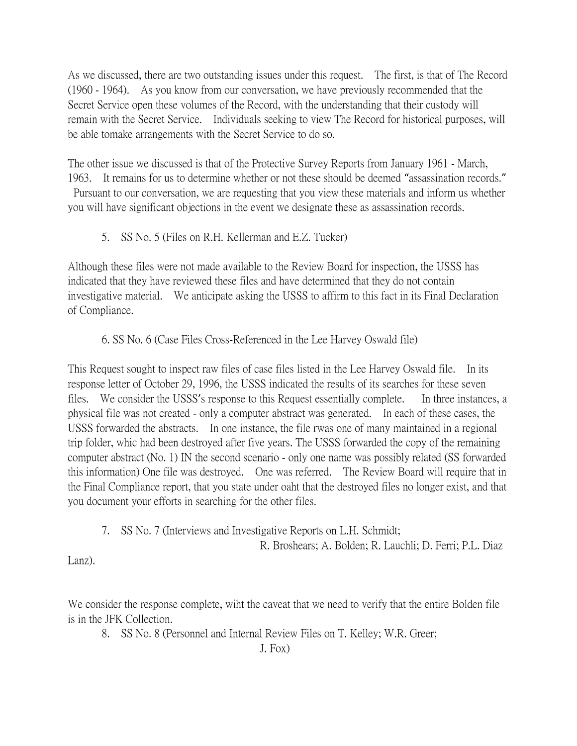As we discussed, there are two outstanding issues under this request. The first, is that of The Record (1960 - 1964). As you know from our conversation, we have previously recommended that the Secret Service open these volumes of the Record, with the understanding that their custody will remain with the Secret Service. Individuals seeking to view The Record for historical purposes, will be able tomake arrangements with the Secret Service to do so.

The other issue we discussed is that of the Protective Survey Reports from January 1961 - March, 1963. It remains for us to determine whether or not these should be deemed "assassination records." Pursuant to our conversation, we are requesting that you view these materials and inform us whether

you will have significant objections in the event we designate these as assassination records.

5. SS No. 5 (Files on R.H. Kellerman and E.Z. Tucker)

Although these files were not made available to the Review Board for inspection, the USSS has indicated that they have reviewed these files and have determined that they do not contain investigative material. We anticipate asking the USSS to affirm to this fact in its Final Declaration of Compliance.

## 6. SS No. 6 (Case Files Cross-Referenced in the Lee Harvey Oswald file)

This Request sought to inspect raw files of case files listed in the Lee Harvey Oswald file. In its response letter of October 29, 1996, the USSS indicated the results of its searches for these seven files. We consider the USSS's response to this Request essentially complete. In three instances, a physical file was not created - only a computer abstract was generated. In each of these cases, the USSS forwarded the abstracts. In one instance, the file rwas one of many maintained in a regional trip folder, whic had been destroyed after five years. The USSS forwarded the copy of the remaining computer abstract (No. 1) IN the second scenario - only one name was possibly related (SS forwarded this information) One file was destroyed. One was referred. The Review Board will require that in the Final Compliance report, that you state under oaht that the destroyed files no longer exist, and that you document your efforts in searching for the other files.

7. SS No. 7 (Interviews and Investigative Reports on L.H. Schmidt;

R. Broshears; A. Bolden; R. Lauchli; D. Ferri; P.L. Diaz

Lanz).

We consider the response complete, wiht the caveat that we need to verify that the entire Bolden file is in the JFK Collection.

8. SS No. 8 (Personnel and Internal Review Files on T. Kelley; W.R. Greer;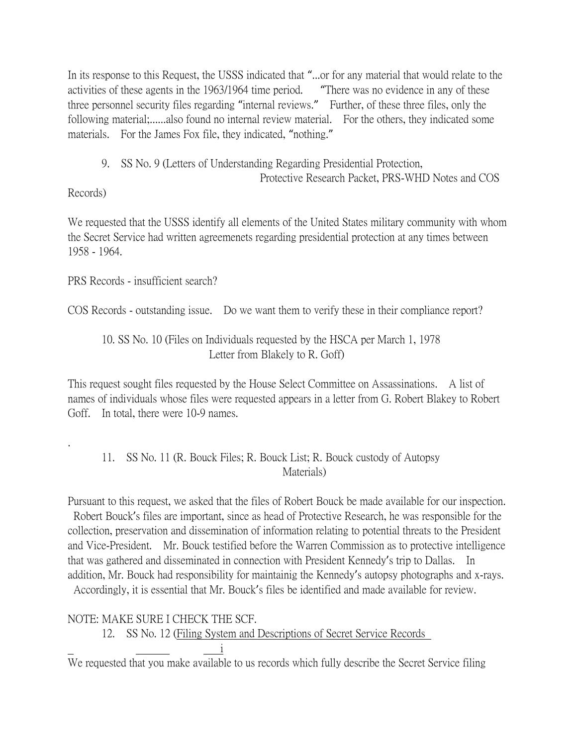In its response to this Request, the USSS indicated that "...or for any material that would relate to the activities of these agents in the 1963/1964 time period. "There was no evidence in any of these three personnel security files regarding "internal reviews." Further, of these three files, only the following material;......also found no internal review material. For the others, they indicated some materials. For the James Fox file, they indicated, "nothing."

9. SS No. 9 (Letters of Understanding Regarding Presidential Protection,

Protective Research Packet, PRS-WHD Notes and COS

# Records)

.

We requested that the USSS identify all elements of the United States military community with whom the Secret Service had written agreemenets regarding presidential protection at any times between 1958 - 1964.

PRS Records - insufficient search?

COS Records - outstanding issue. Do we want them to verify these in their compliance report?

# 10. SS No. 10 (Files on Individuals requested by the HSCA per March 1, 1978 Letter from Blakely to R. Goff)

This request sought files requested by the House Select Committee on Assassinations. A list of names of individuals whose files were requested appears in a letter from G. Robert Blakey to Robert Goff. In total, there were 10-9 names.

# 11. SS No. 11 (R. Bouck Files; R. Bouck List; R. Bouck custody of Autopsy Materials)

Pursuant to this request, we asked that the files of Robert Bouck be made available for our inspection. Robert Bouck's files are important, since as head of Protective Research, he was responsible for the collection, preservation and dissemination of information relating to potential threats to the President and Vice-President. Mr. Bouck testified before the Warren Commission as to protective intelligence that was gathered and disseminated in connection with President Kennedy's trip to Dallas. In addition, Mr. Bouck had responsibility for maintainig the Kennedy's autopsy photographs and x-rays. Accordingly, it is essential that Mr. Bouck's files be identified and made available for review.

NOTE: MAKE SURE I CHECK THE SCF.

12. SS No. 12 (Filing System and Descriptions of Secret Service Records

i

We requested that you make available to us records which fully describe the Secret Service filing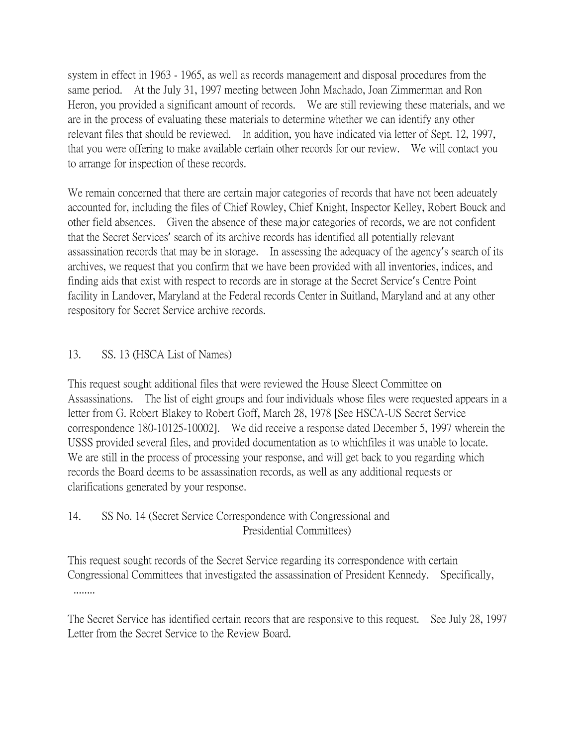system in effect in 1963 - 1965, as well as records management and disposal procedures from the same period. At the July 31, 1997 meeting between John Machado, Joan Zimmerman and Ron Heron, you provided a significant amount of records. We are still reviewing these materials, and we are in the process of evaluating these materials to determine whether we can identify any other relevant files that should be reviewed. In addition, you have indicated via letter of Sept. 12, 1997, that you were offering to make available certain other records for our review. We will contact you to arrange for inspection of these records.

We remain concerned that there are certain major categories of records that have not been adeuately accounted for, including the files of Chief Rowley, Chief Knight, Inspector Kelley, Robert Bouck and other field absences. Given the absence of these major categories of records, we are not confident that the Secret Services' search of its archive records has identified all potentially relevant assassination records that may be in storage. In assessing the adequacy of the agency's search of its archives, we request that you confirm that we have been provided with all inventories, indices, and finding aids that exist with respect to records are in storage at the Secret Service's Centre Point facility in Landover, Maryland at the Federal records Center in Suitland, Maryland and at any other respository for Secret Service archive records.

## 13. SS. 13 (HSCA List of Names)

This request sought additional files that were reviewed the House Sleect Committee on Assassinations. The list of eight groups and four individuals whose files were requested appears in a letter from G. Robert Blakey to Robert Goff, March 28, 1978 [See HSCA-US Secret Service correspondence 180-10125-10002]. We did receive a response dated December 5, 1997 wherein the USSS provided several files, and provided documentation as to whichfiles it was unable to locate. We are still in the process of processing your response, and will get back to you regarding which records the Board deems to be assassination records, as well as any additional requests or clarifications generated by your response.

## 14. SS No. 14 (Secret Service Correspondence with Congressional and Presidential Committees)

This request sought records of the Secret Service regarding its correspondence with certain Congressional Committees that investigated the assassination of President Kennedy. Specifically, ........

The Secret Service has identified certain recors that are responsive to this request. See July 28, 1997 Letter from the Secret Service to the Review Board.